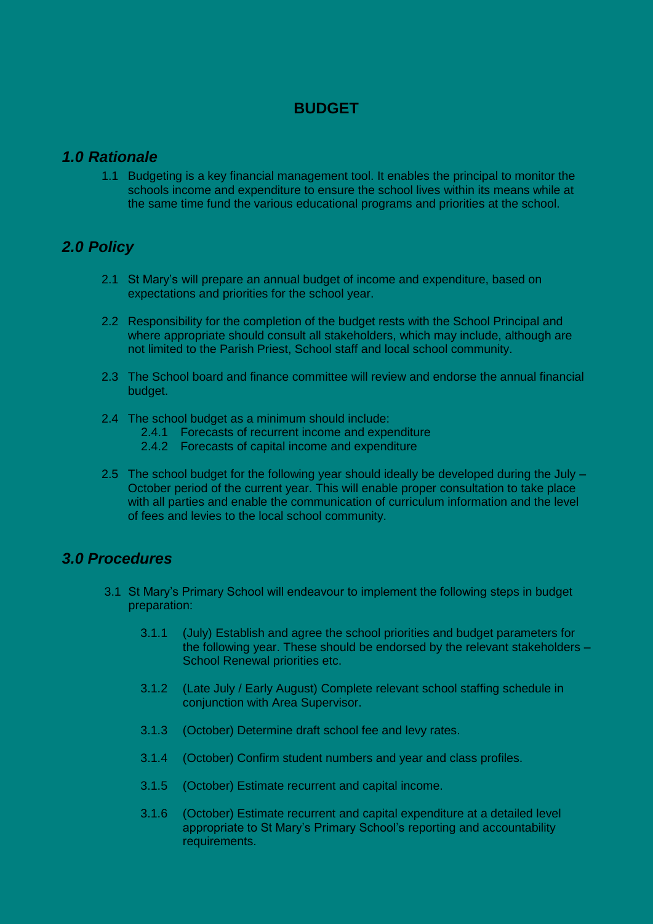## **BUDGET**

## *1.0 Rationale*

1.1 Budgeting is a key financial management tool. It enables the principal to monitor the schools income and expenditure to ensure the school lives within its means while at the same time fund the various educational programs and priorities at the school.

## *2.0 Policy*

- 2.1 St Mary's will prepare an annual budget of income and expenditure, based on expectations and priorities for the school year.
- 2.2 Responsibility for the completion of the budget rests with the School Principal and where appropriate should consult all stakeholders, which may include, although are not limited to the Parish Priest, School staff and local school community.
- 2.3 The School board and finance committee will review and endorse the annual financial budget.
- 2.4 The school budget as a minimum should include:
	- 2.4.1 Forecasts of recurrent income and expenditure
	- 2.4.2 Forecasts of capital income and expenditure
- 2.5 The school budget for the following year should ideally be developed during the July October period of the current year. This will enable proper consultation to take place with all parties and enable the communication of curriculum information and the level of fees and levies to the local school community.

## *3.0 Procedures*

- 3.1 St Mary's Primary School will endeavour to implement the following steps in budget preparation:
	- 3.1.1 (July) Establish and agree the school priorities and budget parameters for the following year. These should be endorsed by the relevant stakeholders – School Renewal priorities etc.
	- 3.1.2 (Late July / Early August) Complete relevant school staffing schedule in conjunction with Area Supervisor.
	- 3.1.3 (October) Determine draft school fee and levy rates.
	- 3.1.4 (October) Confirm student numbers and year and class profiles.
	- 3.1.5 (October) Estimate recurrent and capital income.
	- 3.1.6 (October) Estimate recurrent and capital expenditure at a detailed level appropriate to St Mary's Primary School's reporting and accountability requirements.